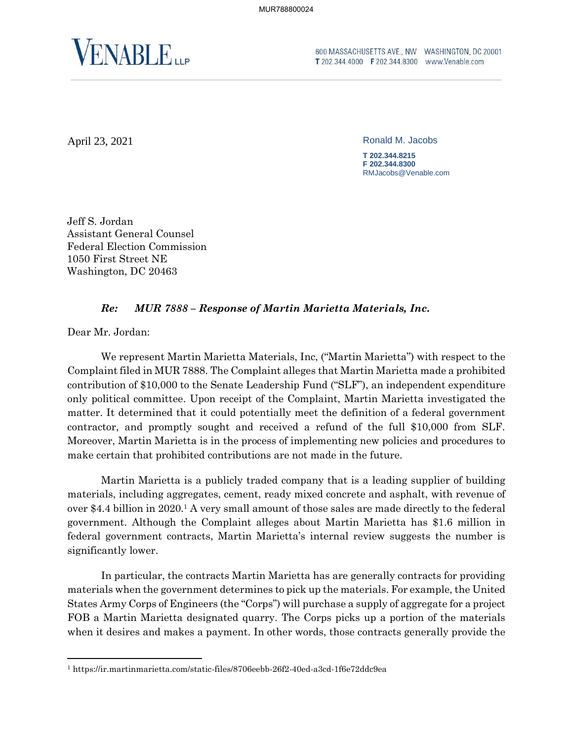

**T** 202.344.4000 **F** 202.344.8300 www.Venable.com

April 23, 2021 Ronald M. Jacobs

**T 202.344.8215 F 202.344.8300** RMJacobs@Venable.com

Jeff S. Jordan Assistant General Counsel Federal Election Commission 1050 First Street NE Washington, DC 20463

## *Re: MUR 7888 – Response of Martin Marietta Materials, Inc.*

Dear Mr. Jordan:

We represent Martin Marietta Materials, Inc, ("Martin Marietta") with respect to the Complaint filed in MUR 7888. The Complaint alleges that Martin Marietta made a prohibited contribution of \$10,000 to the Senate Leadership Fund ("SLF"), an independent expenditure only political committee. Upon receipt of the Complaint, Martin Marietta investigated the matter. It determined that it could potentially meet the definition of a federal government contractor, and promptly sought and received a refund of the full \$10,000 from SLF. Moreover, Martin Marietta is in the process of implementing new policies and procedures to make certain that prohibited contributions are not made in the future.

Martin Marietta is a publicly traded company that is a leading supplier of building materials, including aggregates, cement, ready mixed concrete and asphalt, with revenue of over \$4.4 billion in 2020.<sup>1</sup> A very small amount of those sales are made directly to the federal government. Although the Complaint alleges about Martin Marietta has \$1.6 million in federal government contracts, Martin Marietta's internal review suggests the number is significantly lower.

In particular, the contracts Martin Marietta has are generally contracts for providing materials when the government determines to pick up the materials. For example, the United States Army Corps of Engineers (the "Corps") will purchase a supply of aggregate for a project FOB a Martin Marietta designated quarry. The Corps picks up a portion of the materials when it desires and makes a payment. In other words, those contracts generally provide the

<sup>1</sup> https://ir.martinmarietta.com/static-files/8706eebb-26f2-40ed-a3cd-1f6e72ddc9ea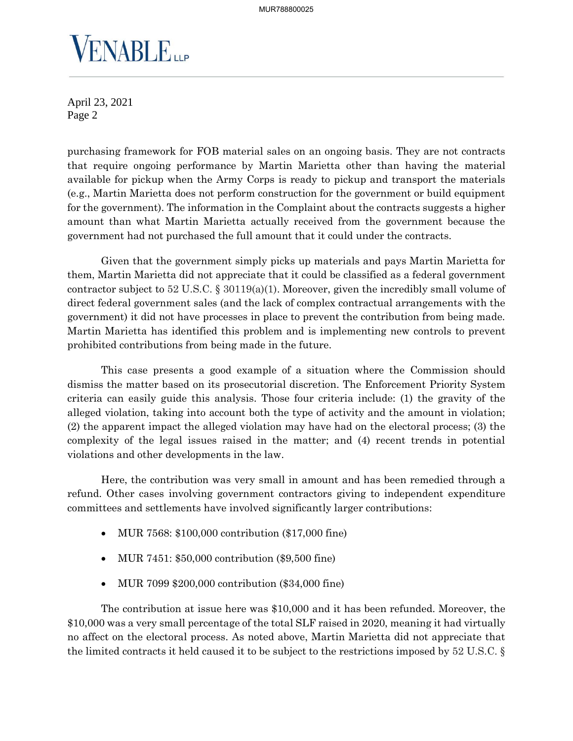

April 23, 2021 Page 2

purchasing framework for FOB material sales on an ongoing basis. They are not contracts that require ongoing performance by Martin Marietta other than having the material available for pickup when the Army Corps is ready to pickup and transport the materials (e.g., Martin Marietta does not perform construction for the government or build equipment for the government). The information in the Complaint about the contracts suggests a higher amount than what Martin Marietta actually received from the government because the government had not purchased the full amount that it could under the contracts.

Given that the government simply picks up materials and pays Martin Marietta for them, Martin Marietta did not appreciate that it could be classified as a federal government contractor subject to 52 U.S.C. § 30119(a)(1). Moreover, given the incredibly small volume of direct federal government sales (and the lack of complex contractual arrangements with the government) it did not have processes in place to prevent the contribution from being made. Martin Marietta has identified this problem and is implementing new controls to prevent prohibited contributions from being made in the future.

This case presents a good example of a situation where the Commission should dismiss the matter based on its prosecutorial discretion. The Enforcement Priority System criteria can easily guide this analysis. Those four criteria include: (1) the gravity of the alleged violation, taking into account both the type of activity and the amount in violation; (2) the apparent impact the alleged violation may have had on the electoral process; (3) the complexity of the legal issues raised in the matter; and (4) recent trends in potential violations and other developments in the law.

Here, the contribution was very small in amount and has been remedied through a refund. Other cases involving government contractors giving to independent expenditure committees and settlements have involved significantly larger contributions:

- MUR 7568: \$100,000 contribution (\$17,000 fine)
- MUR 7451: \$50,000 contribution (\$9,500 fine)
- MUR 7099 \$200,000 contribution (\$34,000 fine)

The contribution at issue here was \$10,000 and it has been refunded. Moreover, the \$10,000 was a very small percentage of the total SLF raised in 2020, meaning it had virtually no affect on the electoral process. As noted above, Martin Marietta did not appreciate that the limited contracts it held caused it to be subject to the restrictions imposed by 52 U.S.C. §